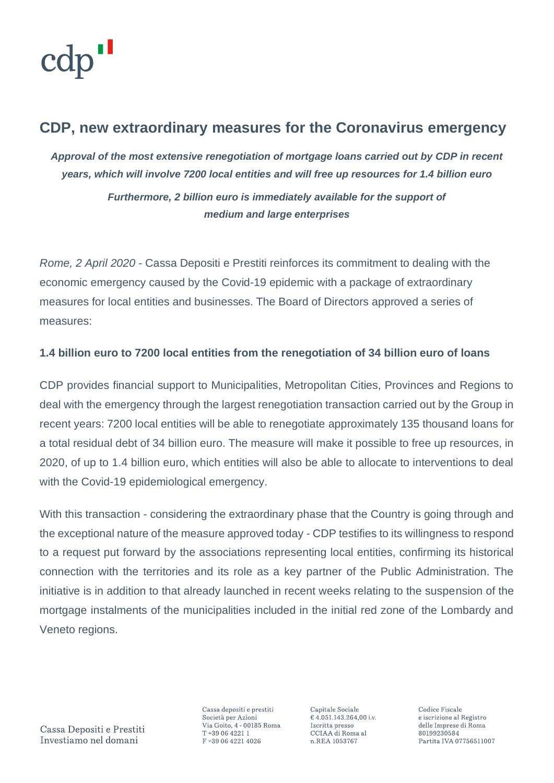## **CDP, new extraordinary measures for the Coronavirus emergency**

*Approval of the most extensive renegotiation of mortgage loans carried out by CDP in recent years, which will involve 7200 local entities and will free up resources for 1.4 billion euro Furthermore, 2 billion euro is immediately available for the support of medium and large enterprises*

*Rome, 2 April 2020* - Cassa Depositi e Prestiti reinforces its commitment to dealing with the economic emergency caused by the Covid-19 epidemic with a package of extraordinary measures for local entities and businesses. The Board of Directors approved a series of measures:

## **1.4 billion euro to 7200 local entities from the renegotiation of 34 billion euro of loans**

CDP provides financial support to Municipalities, Metropolitan Cities, Provinces and Regions to deal with the emergency through the largest renegotiation transaction carried out by the Group in recent years: 7200 local entities will be able to renegotiate approximately 135 thousand loans for a total residual debt of 34 billion euro. The measure will make it possible to free up resources, in 2020, of up to 1.4 billion euro, which entities will also be able to allocate to interventions to deal with the Covid-19 epidemiological emergency.

With this transaction - considering the extraordinary phase that the Country is going through and the exceptional nature of the measure approved today - CDP testifies to its willingness to respond to a request put forward by the associations representing local entities, confirming its historical connection with the territories and its role as a key partner of the Public Administration. The initiative is in addition to that already launched in recent weeks relating to the suspension of the mortgage instalments of the municipalities included in the initial red zone of the Lombardy and Veneto regions.

Cassa Depositi e Prestiti Investiamo nel domani

Cassa depositi e prestiti Società per Azioni Via Goito, 4 - 00185 Roma T+39 06 4221 1 F+39 06 4221 4026

Capitale Sociale € 4.051.143.264,00 i.v. Iscritta presso CCIAA di Roma al n.REA 1053767

Codice Fiscale e iscrizione al Registro delle Imprese di Roma 80199230584 Partita IVA 07756511007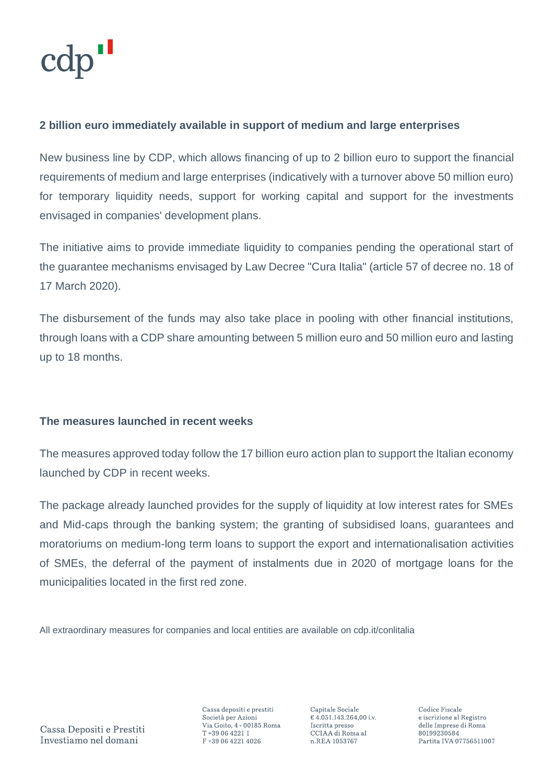## **2 billion euro immediately available in support of medium and large enterprises**

New business line by CDP, which allows financing of up to 2 billion euro to support the financial requirements of medium and large enterprises (indicatively with a turnover above 50 million euro) for temporary liquidity needs, support for working capital and support for the investments envisaged in companies' development plans.

The initiative aims to provide immediate liquidity to companies pending the operational start of the guarantee mechanisms envisaged by Law Decree "Cura Italia" (article 57 of decree no. 18 of 17 March 2020).

The disbursement of the funds may also take place in pooling with other financial institutions, through loans with a CDP share amounting between 5 million euro and 50 million euro and lasting up to 18 months.

## **The measures launched in recent weeks**

The measures approved today follow the 17 billion euro action plan to support the Italian economy launched by CDP in recent weeks.

The package already launched provides for the supply of liquidity at low interest rates for SMEs and Mid-caps through the banking system; the granting of subsidised loans, guarantees and moratoriums on medium-long term loans to support the export and internationalisation activities of SMEs, the deferral of the payment of instalments due in 2020 of mortgage loans for the municipalities located in the first red zone.

All extraordinary measures for companies and local entities are available on cdp.it/conlitalia

Cassa Depositi e Prestiti Investiamo nel domani

Cassa depositi e prestiti Società per Azioni Via Goito, 4 - 00185 Roma T+39 06 4221 1 F+39 06 4221 4026

Capitale Sociale € 4.051.143.264,00 i.v. Iscritta presso CCIAA di Roma al n.REA 1053767

Codice Fiscale e iscrizione al Registro delle Imprese di Roma 80199230584 Partita IVA 07756511007